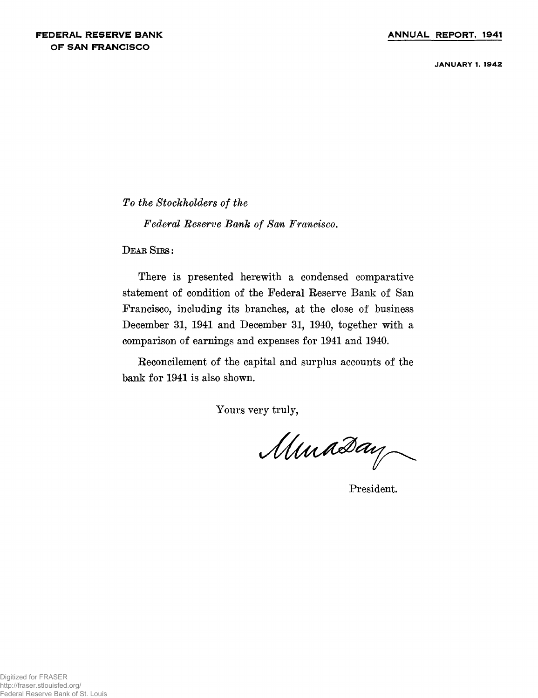**JANUARY 1. 1942**

*To the Stockholders of the*

*Federal Reserve Bank of San Francisco.*

 $D$ **EAR SIRS**:

**There is presented herewith a condensed comparative statement of condition of the Federal Reserve Bank of San Francisco, including its branches, at the close of business December 31, 1941 and December 31, 1940, together with a comparison of earnings and expenses for 1941 and 1940.**

**Reconcilement of the capital and surplus accounts of the bank for 1941 is also shown.**

**Yours very truly,**

Muaday

**President.**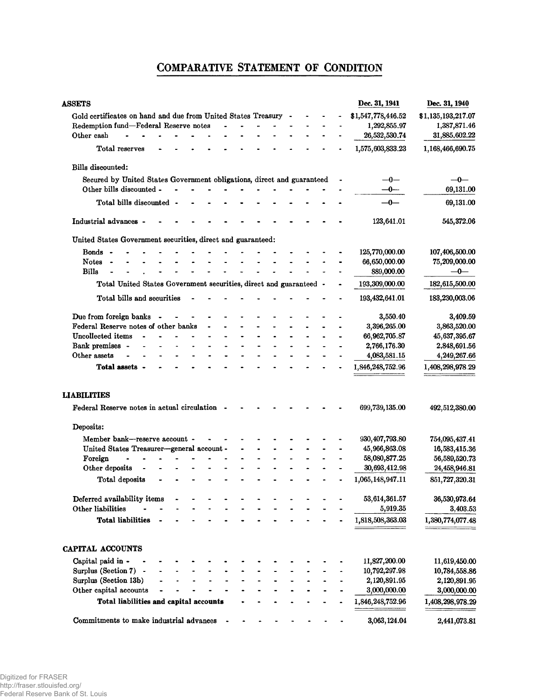# **COMPARATIVE STATEMENT OF CONDITION**

| <b>ASSETS</b>                                                          |  |  |  |  |  | Dec. 31, 1941      | Dec. 31, 1940      |
|------------------------------------------------------------------------|--|--|--|--|--|--------------------|--------------------|
| Gold certificates on hand and due from United States Treasury          |  |  |  |  |  | \$1,547,778,446.52 | \$1,135,193,217.07 |
| Redemption fund-Federal Reserve notes                                  |  |  |  |  |  | 1,292,855.97       | 1,387,871.46       |
| Other cash                                                             |  |  |  |  |  | 26,532,530.74      | 31,885,602.22      |
| Total reserves                                                         |  |  |  |  |  | 1,575,603,833.23   | 1,168,466,690.75   |
| Bills discounted:                                                      |  |  |  |  |  |                    |                    |
| Secured by United States Government obligations, direct and guaranteed |  |  |  |  |  | —0—                | $-0-$              |
| Other bills discounted -                                               |  |  |  |  |  | —0—                | 69,131.00          |
| Total bills discounted -                                               |  |  |  |  |  | $\rightarrow$      | 69,131.00          |
| Industrial advances -                                                  |  |  |  |  |  | 123,641.01         | 545,372.06         |
| United States Government securities, direct and guaranteed:            |  |  |  |  |  |                    |                    |
| Bonds -                                                                |  |  |  |  |  | 125,770,000.00     | 107,406,500.00     |
| <b>Notes</b>                                                           |  |  |  |  |  | 66,650,000.00      | 75,209,000.00      |
| <b>Bills</b>                                                           |  |  |  |  |  | 889,000.00         | $-0-$              |
| Total United States Government securities, direct and guaranteed -     |  |  |  |  |  | 193,309,000.00     | 182,615,500.00     |
| Total bills and securities                                             |  |  |  |  |  | 193,432,641.01     | 183,230,003.06     |
| Due from foreign banks<br>$\overline{\phantom{a}}$                     |  |  |  |  |  | 3,550.40           | 3,409.59           |
| Federal Reserve notes of other banks                                   |  |  |  |  |  | 3,396,265.00       | 3,863,520.00       |
| Uncollected items                                                      |  |  |  |  |  | 66,962,705.87      | 45,637,395.67      |
| Bank premises -                                                        |  |  |  |  |  | 2,766,176.30       | 2,848,691.56       |
| Other assets                                                           |  |  |  |  |  | 4,083,581.15       | 4,249,267.66       |
| Total assets -                                                         |  |  |  |  |  | 1,846,248,752.96   | 1,408,298,978.29   |
| <b>LIABILITIES</b><br>Federal Reserve notes in actual circulation -    |  |  |  |  |  | 699,739,135.00     | 492,512,380.00     |
| Deposits:                                                              |  |  |  |  |  |                    |                    |
| Member bank-reserve account -                                          |  |  |  |  |  | 930, 407, 793.80   | 754,095,437.41     |
| United States Treasurer-general account -                              |  |  |  |  |  | 45,966,863.08      | 16,583,415.36      |
| Foreign                                                                |  |  |  |  |  | 58,080,877.25      | 56,589,520.73      |
| Other deposits                                                         |  |  |  |  |  | 30,693,412.98      | 24,458,946.81      |
| Total deposits                                                         |  |  |  |  |  | 1,065,148,947.11   | 851,727,320.31     |
| Deferred availability items                                            |  |  |  |  |  | 53,614,361.57      | 36,530,973.64      |
| Other liabilities                                                      |  |  |  |  |  | 5,919.35           | 3,403.53           |
| <b>Total liabilities</b>                                               |  |  |  |  |  | 1,818,508,363.03   | 1,380,774,077.48   |
|                                                                        |  |  |  |  |  |                    |                    |
| CAPITAL ACCOUNTS                                                       |  |  |  |  |  |                    |                    |
| Capital paid in -                                                      |  |  |  |  |  | 11,827,200.00      | 11,619,450.00      |
| Surplus (Section 7) -                                                  |  |  |  |  |  | 10,792,297.98      | 10,784,558.86      |
| Surplus (Section 13b)                                                  |  |  |  |  |  | 2,120,891.95       | 2,120,891.95       |
| Other capital accounts                                                 |  |  |  |  |  | 3,000,000.00       | 3,000,000.00       |
| Total liabilities and capital accounts                                 |  |  |  |  |  | 1,846,248,752.96   | 1,408,298,978.29   |
| Commitments to make industrial advances                                |  |  |  |  |  | 3,063,124.04       | 2,441,073.81       |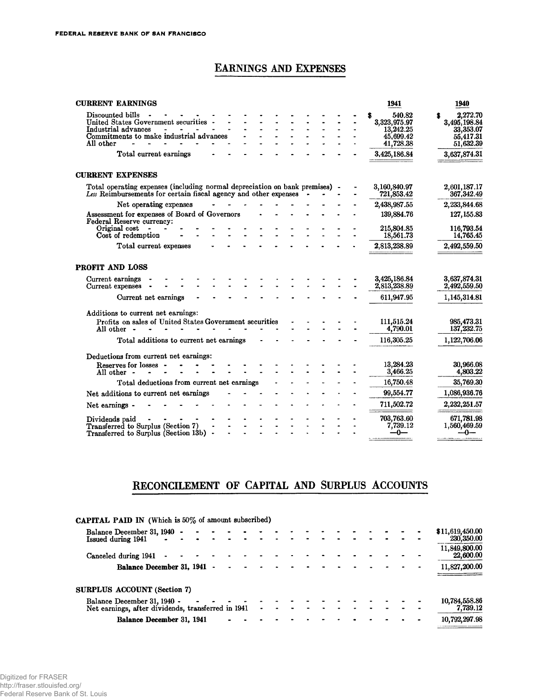## EARNINGS AND EXPENSES

| <b>CURRENT EARNINGS</b>                                                                                                                        | 1941                         | 1940                         |
|------------------------------------------------------------------------------------------------------------------------------------------------|------------------------------|------------------------------|
| Discounted bills<br>United States Government securities -                                                                                      | 540.82                       | 2.272.70                     |
| Industrial advances<br>$\overline{\phantom{0}}$<br>$\sim$ 100 $\mu$                                                                            | 3,323,975.97<br>13,242.25    | 3,495,198.84<br>33,353.07    |
| Commitments to make industrial advances                                                                                                        | 45,699.42                    | 55,417.31                    |
| All other                                                                                                                                      | 41,728.38                    | 51,632.39                    |
| Total current earnings                                                                                                                         | 3,425,186.84                 | 3,637,874.31                 |
| <b>CURRENT EXPENSES</b>                                                                                                                        |                              |                              |
| Total operating expenses (including normal depreciation on bank premises) -<br>Les Reimbursements for certain fiscal agency and other expenses | 3,160,840.97<br>721,853.42   | 2,601,187.17<br>367,342.49   |
| Net operating expenses                                                                                                                         | 2,438,987.55                 | 2,233,844.68                 |
| Assessment for expenses of Board of Governors<br><b>Federal Reserve currency:</b>                                                              | 139,884.76                   | 127, 155.83                  |
| Original cost                                                                                                                                  | 215,804.85                   | 116,793.54                   |
| Cost of redemption                                                                                                                             | 18,561.73                    | 14,765.45                    |
| Total current expenses                                                                                                                         | 2,813,238.89                 | 2,492,559.50                 |
| PROFIT AND LOSS                                                                                                                                |                              |                              |
| Current earnings<br>Current expenses                                                                                                           | 3,425,186.84<br>2,813,238.89 | 3,637,874.31<br>2,492,559.50 |
| Current net earnings                                                                                                                           | 611,947.95                   | 1,145,314.81                 |
| Additions to current net earnings:                                                                                                             |                              |                              |
| Profits on sales of United States Government securities                                                                                        | 111,515.24                   | 985,473.31                   |
| All other -                                                                                                                                    | 4,790.01                     | 137, 232.75                  |
| Total additions to current net earnings                                                                                                        | 116,305.25                   | 1,122,706.06                 |
| Deductions from current net earnings:                                                                                                          |                              |                              |
|                                                                                                                                                | 13,284.23                    | 30,966.08                    |
| Reserves for losses -<br>All other -                                                                                                           | 3,466.25                     | 4,803.22                     |
| Total deductions from current net earnings                                                                                                     | 16,750.48                    | 35,769.30                    |
| Net additions to current net earnings                                                                                                          | 99,554.77                    | 1,086,936.76                 |
| Net earnings -                                                                                                                                 | 711,502.72                   | 2,232,251.57                 |
|                                                                                                                                                |                              |                              |
| Dividends paid                                                                                                                                 | 703,763.60                   | 671,781.98                   |
| Transferred to Surplus (Section 7)                                                                                                             | 7,739.12                     | 1,560,469.59                 |
| Transferred to Surplus (Section 13b) -                                                                                                         | $-0-$                        | —0—                          |
|                                                                                                                                                |                              |                              |

## RECONCILEMENT OF CAPITAL AND SURPLUS ACCOUNTS

| <b>CAPITAL PAID IN</b> (Which is 50% of amount subscribed) |  |  |  |   |  |  |  |  |  |                               |
|------------------------------------------------------------|--|--|--|---|--|--|--|--|--|-------------------------------|
| Balance December 31, 1940 -<br>Issued during 1941          |  |  |  |   |  |  |  |  |  | \$11,619,450.00<br>230,350.00 |
| Canceled during 1941                                       |  |  |  |   |  |  |  |  |  | 11,849,800.00<br>22,600.00    |
| Balance December 31, 1941                                  |  |  |  |   |  |  |  |  |  | 11,827,200.00                 |
| SURPLUS ACCOUNT (Section 7)                                |  |  |  |   |  |  |  |  |  |                               |
| Balance December 31, 1940 -                                |  |  |  |   |  |  |  |  |  | 10,784,558.86                 |
| Net earnings, after dividends, transferred in 1941         |  |  |  | ۰ |  |  |  |  |  | 7,739.12                      |
| Balance December 31, 1941                                  |  |  |  |   |  |  |  |  |  | 10,792,297.98                 |
|                                                            |  |  |  |   |  |  |  |  |  |                               |